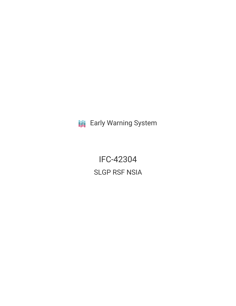**III** Early Warning System

IFC-42304 SLGP RSF NSIA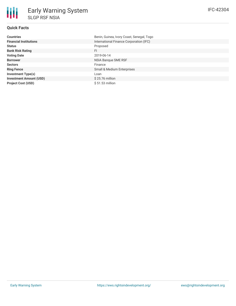# **Quick Facts**

₩

| <b>Countries</b>               | Benin, Guinea, Ivory Coast, Senegal, Togo |
|--------------------------------|-------------------------------------------|
| <b>Financial Institutions</b>  | International Finance Corporation (IFC)   |
| <b>Status</b>                  | Proposed                                  |
| <b>Bank Risk Rating</b>        | FI.                                       |
| <b>Voting Date</b>             | 2019-06-14                                |
| <b>Borrower</b>                | NSIA Bangue SME RSF                       |
| <b>Sectors</b>                 | Finance                                   |
| <b>Ring Fence</b>              | <b>Small &amp; Medium Enterprises</b>     |
| <b>Investment Type(s)</b>      | Loan                                      |
| <b>Investment Amount (USD)</b> | $$25.76$ million                          |
| <b>Project Cost (USD)</b>      | $$51.53$ million                          |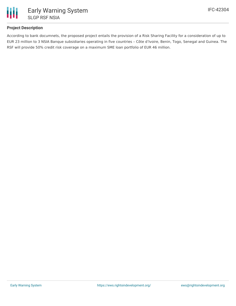

# **Project Description**

According to bank documnets, the proposed project entails the provision of a Risk Sharing Facility for a consideration of up to EUR 23 million to 3 NSIA Banque subsidiaries operating in five countries – Côte d'Ivoire, Benin, Togo, Senegal and Guinea. The RSF will provide 50% credit risk coverage on a maximum SME loan portfolio of EUR 46 million.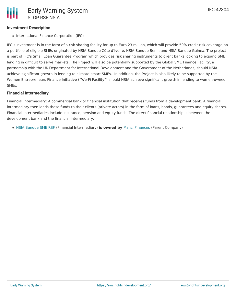## **Investment Description**

• International Finance Corporation (IFC)

IFC's investment is in the form of a risk sharing facility for up to Euro 23 million, which will provide 50% credit risk coverage on a portfolio of eligible SMEs originated by NSIA Banque Côte d'Ivoire, NSIA Banque Benin and NSIA Banque Guinea. The project is part of IFC's Small Loan Guarantee Program which provides risk sharing instruments to client banks looking to expand SME lending in difficult to serve markets. The Project will also be potentially supported by the Global SME Finance Facility, a partnership with the UK Department for International Development and the Government of the Netherlands, should NSIA achieve significant growth in lending to climate-smart SMEs. In addition, the Project is also likely to be supported by the Women Entrepreneurs Finance Initiative ("We-Fi Facility") should NSIA achieve significant growth in lending to women-owned SMEs.

### **Financial Intermediary**

Financial Intermediary: A commercial bank or financial institution that receives funds from a development bank. A financial intermediary then lends these funds to their clients (private actors) in the form of loans, bonds, guarantees and equity shares. Financial intermediaries include insurance, pension and equity funds. The direct financial relationship is between the development bank and the financial intermediary.

NSIA [Banque](file:///actor/4080/) SME RSF (Financial Intermediary) **is owned by** Manzi [Finances](file:///actor/4075/) (Parent Company)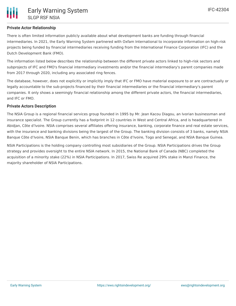# **Private Actor Relationship**

There is often limited information publicly available about what development banks are funding through financial intermediaries. In 2021, the Early Warning System partnered with Oxfam International to incorporate information on high-risk projects being funded by financial intermediaries receiving funding from the International Finance Corporation (IFC) and the Dutch Development Bank (FMO).

The information listed below describes the relationship between the different private actors linked to high-risk sectors and subprojects of IFC and FMO's financial intermediary investments and/or the financial intermediary's parent companies made from 2017 through 2020, including any associated ring fences.

The database, however, does not explicitly or implicitly imply that IFC or FMO have material exposure to or are contractually or legally accountable to the sub-projects financed by their financial intermediaries or the financial intermediary's parent companies. It only shows a seemingly financial relationship among the different private actors, the financial intermediaries, and IFC or FMO.

## **Private Actors Description**

The NSIA Group is a regional financial services group founded in 1995 by Mr. Jean Kacou Diagou, an Ivorian businessman and insurance specialist. The Group currently has a footprint in 12 countries in West and Central Africa, and is headquartered in Abidjan, Côte d'Ivoire. NSIA comprises several affiliates offering insurance, banking, corporate finance and real estate services, with the insurance and banking divisions being the largest of the Group. The banking division consists of 3 banks, namely NSIA Banque Côte d'Ivoire, NSIA Banque Benin, which has branches in Côte d'Ivoire, Togo and Senegal, and NSIA Banque Guinea.

NSIA Participations is the holding company controlling most subsidiaries of the Group. NSIA Participations drives the Group strategy and provides oversight to the entire NSIA network. In 2015, the National Bank of Canada (NBC) completed the acquisition of a minority stake (22%) in NSIA Participations. In 2017, Swiss Re acquired 29% stake in Manzi Finance, the majority shareholder of NSIA Participations.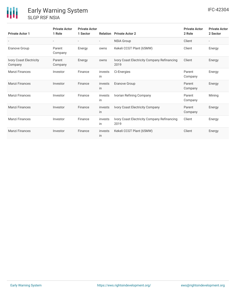| <b>Private Actor 1</b>             | <b>Private Actor</b><br>1 Role | <b>Private Actor</b><br>1 Sector | <b>Relation</b> | <b>Private Actor 2</b>                              | <b>Private Actor</b><br>2 Role | <b>Private Actor</b><br>2 Sector |
|------------------------------------|--------------------------------|----------------------------------|-----------------|-----------------------------------------------------|--------------------------------|----------------------------------|
|                                    |                                |                                  |                 | <b>NSIA Group</b>                                   | Client                         |                                  |
| <b>Eranove Group</b>               | Parent<br>Company              | Energy                           | owns            | Kekeli CCGT Plant (65MW)                            | Client                         | Energy                           |
| Ivory Coast Electricity<br>Company | Parent<br>Company              | Energy                           | owns            | Ivory Coast Electricity Company Refinancing<br>2019 | Client                         | Energy                           |
| <b>Manzi Finances</b>              | Investor                       | Finance                          | invests<br>in   | Ci-Energies                                         | Parent<br>Company              | Energy                           |
| <b>Manzi Finances</b>              | Investor                       | Finance                          | invests<br>in   | Eranove Group                                       | Parent<br>Company              | Energy                           |
| <b>Manzi Finances</b>              | Investor                       | Finance                          | invests<br>in   | Ivorian Refining Company                            | Parent<br>Company              | Mining                           |
| <b>Manzi Finances</b>              | Investor                       | Finance                          | invests<br>in   | Ivory Coast Electricity Company                     | Parent<br>Company              | Energy                           |
| <b>Manzi Finances</b>              | Investor                       | Finance                          | invests<br>in   | Ivory Coast Electricity Company Refinancing<br>2019 | Client                         | Energy                           |
| <b>Manzi Finances</b>              | Investor                       | Finance                          | invests<br>in   | Kekeli CCGT Plant (65MW)                            | Client                         | Energy                           |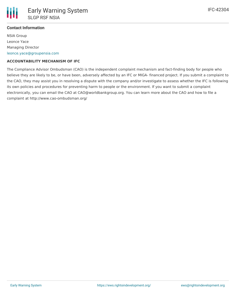## **Contact Information**

NSIA Group Leonce Yace Managing Director [leonce.yace@groupensia.com](mailto:leonce.yace@groupensia.com)

### **ACCOUNTABILITY MECHANISM OF IFC**

The Compliance Advisor Ombudsman (CAO) is the independent complaint mechanism and fact-finding body for people who believe they are likely to be, or have been, adversely affected by an IFC or MIGA- financed project. If you submit a complaint to the CAO, they may assist you in resolving a dispute with the company and/or investigate to assess whether the IFC is following its own policies and procedures for preventing harm to people or the environment. If you want to submit a complaint electronically, you can email the CAO at CAO@worldbankgroup.org. You can learn more about the CAO and how to file a complaint at http://www.cao-ombudsman.org/